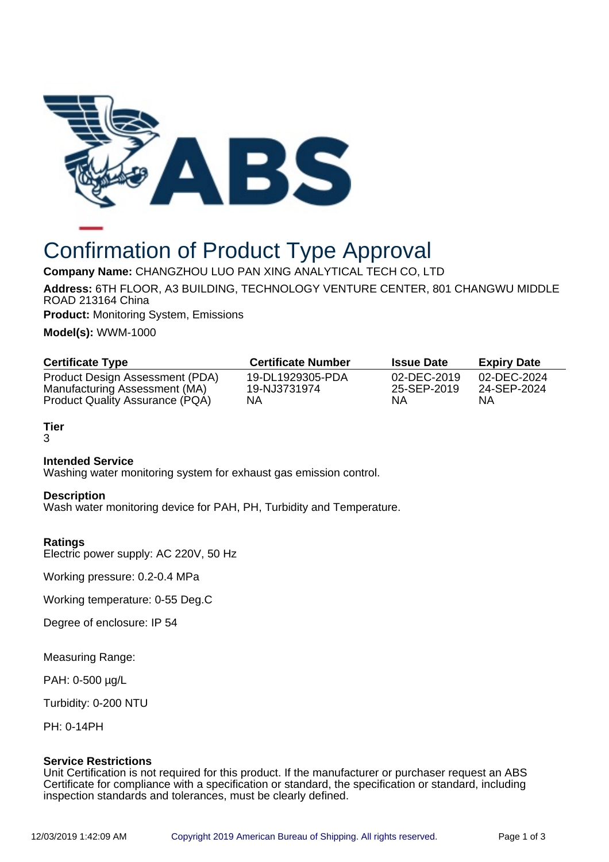

# Confirmation of Product Type Approval

**Company Name:** CHANGZHOU LUO PAN XING ANALYTICAL TECH CO, LTD

**Address:** 6TH FLOOR, A3 BUILDING, TECHNOLOGY VENTURE CENTER, 801 CHANGWU MIDDLE ROAD 213164 China

**Product:** Monitoring System, Emissions

**Model(s):** WWM-1000

| <b>Certificate Type</b>         | <b>Certificate Number</b> | <b>Issue Date</b> | <b>Expiry Date</b> |
|---------------------------------|---------------------------|-------------------|--------------------|
| Product Design Assessment (PDA) | 19-DL1929305-PDA          | 02-DEC-2019       | 02-DEC-2024        |
| Manufacturing Assessment (MA)   | 19-NJ3731974              | 25-SEP-2019       | 24-SEP-2024        |
| Product Quality Assurance (PQA) | NA                        | ΝA                | ΝA                 |

**Tier** 3

# **Intended Service**

Washing water monitoring system for exhaust gas emission control.

### **Description**

Wash water monitoring device for PAH, PH, Turbidity and Temperature.

### **Ratings**

Electric power supply: AC 220V, 50 Hz

Working pressure: 0.2-0.4 MPa

Working temperature: 0-55 Deg.C

Degree of enclosure: IP 54

Measuring Range:

PAH: 0-500 µg/L

Turbidity: 0-200 NTU

PH: 0-14PH

### **Service Restrictions**

Unit Certification is not required for this product. If the manufacturer or purchaser request an ABS Certificate for compliance with a specification or standard, the specification or standard, including inspection standards and tolerances, must be clearly defined.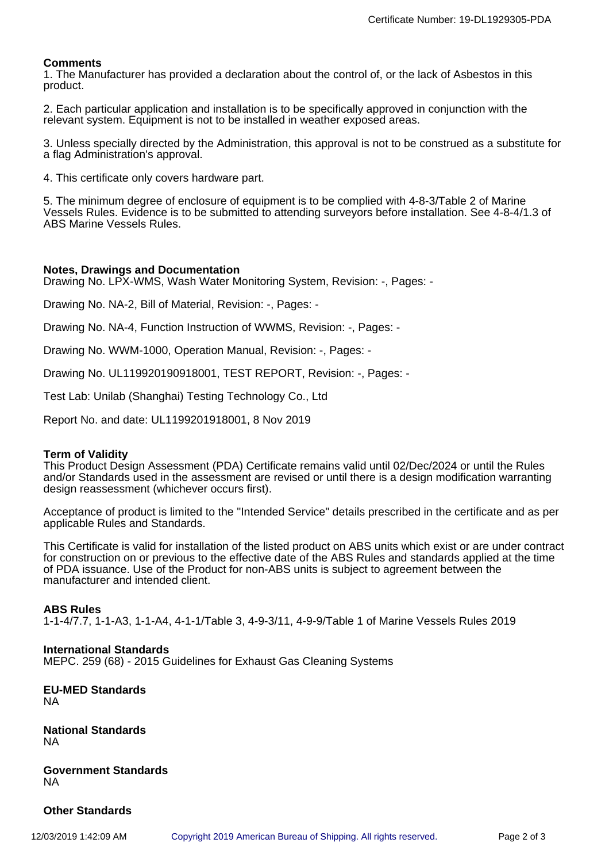## **Comments**

1. The Manufacturer has provided a declaration about the control of, or the lack of Asbestos in this product.

2. Each particular application and installation is to be specifically approved in conjunction with the relevant system. Equipment is not to be installed in weather exposed areas.

3. Unless specially directed by the Administration, this approval is not to be construed as a substitute for a flag Administration's approval.

4. This certificate only covers hardware part.

5. The minimum degree of enclosure of equipment is to be complied with 4-8-3/Table 2 of Marine Vessels Rules. Evidence is to be submitted to attending surveyors before installation. See 4-8-4/1.3 of ABS Marine Vessels Rules.

### **Notes, Drawings and Documentation**

Drawing No. LPX-WMS, Wash Water Monitoring System, Revision: -, Pages: -

Drawing No. NA-2, Bill of Material, Revision: -, Pages: -

Drawing No. NA-4, Function Instruction of WWMS, Revision: -, Pages: -

Drawing No. WWM-1000, Operation Manual, Revision: -, Pages: -

Drawing No. UL119920190918001, TEST REPORT, Revision: -, Pages: -

Test Lab: Unilab (Shanghai) Testing Technology Co., Ltd

Report No. and date: UL1199201918001, 8 Nov 2019

#### **Term of Validity**

This Product Design Assessment (PDA) Certificate remains valid until 02/Dec/2024 or until the Rules and/or Standards used in the assessment are revised or until there is a design modification warranting design reassessment (whichever occurs first).

Acceptance of product is limited to the "Intended Service" details prescribed in the certificate and as per applicable Rules and Standards.

This Certificate is valid for installation of the listed product on ABS units which exist or are under contract for construction on or previous to the effective date of the ABS Rules and standards applied at the time of PDA issuance. Use of the Product for non-ABS units is subject to agreement between the manufacturer and intended client.

### **ABS Rules**

1-1-4/7.7, 1-1-A3, 1-1-A4, 4-1-1/Table 3, 4-9-3/11, 4-9-9/Table 1 of Marine Vessels Rules 2019

#### **International Standards**

MEPC. 259 (68) - 2015 Guidelines for Exhaust Gas Cleaning Systems

**EU-MED Standards** NA

**National Standards** NA

**Government Standards** NA

**Other Standards**